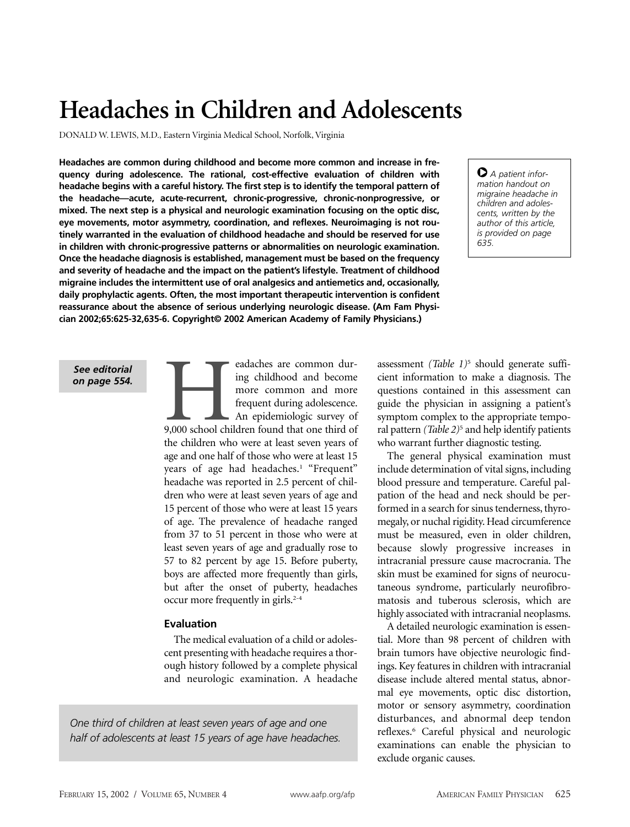# **Headaches in Children and Adolescents**

DONALD W. LEWIS, M.D., Eastern Virginia Medical School, Norfolk, Virginia

**Headaches are common during childhood and become more common and increase in frequency during adolescence. The rational, cost-effective evaluation of children with headache begins with a careful history. The first step is to identify the temporal pattern of the headache—acute, acute-recurrent, chronic-progressive, chronic-nonprogressive, or mixed. The next step is a physical and neurologic examination focusing on the optic disc, eye movements, motor asymmetry, coordination, and reflexes. Neuroimaging is not routinely warranted in the evaluation of childhood headache and should be reserved for use in children with chronic-progressive patterns or abnormalities on neurologic examination. Once the headache diagnosis is established, management must be based on the frequency and severity of headache and the impact on the patient's lifestyle. Treatment of childhood migraine includes the intermittent use of oral analgesics and antiemetics and, occasionally, daily prophylactic agents. Often, the most important therapeutic intervention is confident reassurance about the absence of serious underlying neurologic disease. (Am Fam Physician 2002;65:625-32,635-6. Copyright© 2002 American Academy of Family Physicians.)**

O *A patient information handout on migraine headache in children and adolescents, written by the author of this article, is provided on page 635.*

*See editorial on page 554.*

Eadaches are common during childhood and become<br>
more common and more<br>
frequent during adolescence.<br>
An epidemiologic survey of<br>
9,000 school children found that one third of ing childhood and become more common and more frequent during adolescence. An epidemiologic survey of the children who were at least seven years of age and one half of those who were at least 15 years of age had headaches.<sup>1</sup> "Frequent" headache was reported in 2.5 percent of children who were at least seven years of age and 15 percent of those who were at least 15 years of age. The prevalence of headache ranged from 37 to 51 percent in those who were at least seven years of age and gradually rose to 57 to 82 percent by age 15. Before puberty, boys are affected more frequently than girls, but after the onset of puberty, headaches occur more frequently in girls.<sup>2-4</sup>

## **Evaluation**

The medical evaluation of a child or adolescent presenting with headache requires a thorough history followed by a complete physical and neurologic examination. A headache

*One third of children at least seven years of age and one half of adolescents at least 15 years of age have headaches.* assessment *(Table 1)*<sup>5</sup> should generate sufficient information to make a diagnosis. The questions contained in this assessment can guide the physician in assigning a patient's symptom complex to the appropriate temporal pattern *(Table 2)*<sup>5</sup> and help identify patients who warrant further diagnostic testing.

The general physical examination must include determination of vital signs, including blood pressure and temperature. Careful palpation of the head and neck should be performed in a search for sinus tenderness, thyromegaly, or nuchal rigidity. Head circumference must be measured, even in older children, because slowly progressive increases in intracranial pressure cause macrocrania. The skin must be examined for signs of neurocutaneous syndrome, particularly neurofibromatosis and tuberous sclerosis, which are highly associated with intracranial neoplasms.

A detailed neurologic examination is essential. More than 98 percent of children with brain tumors have objective neurologic findings. Key features in children with intracranial disease include altered mental status, abnormal eye movements, optic disc distortion, motor or sensory asymmetry, coordination disturbances, and abnormal deep tendon reflexes.6 Careful physical and neurologic examinations can enable the physician to exclude organic causes.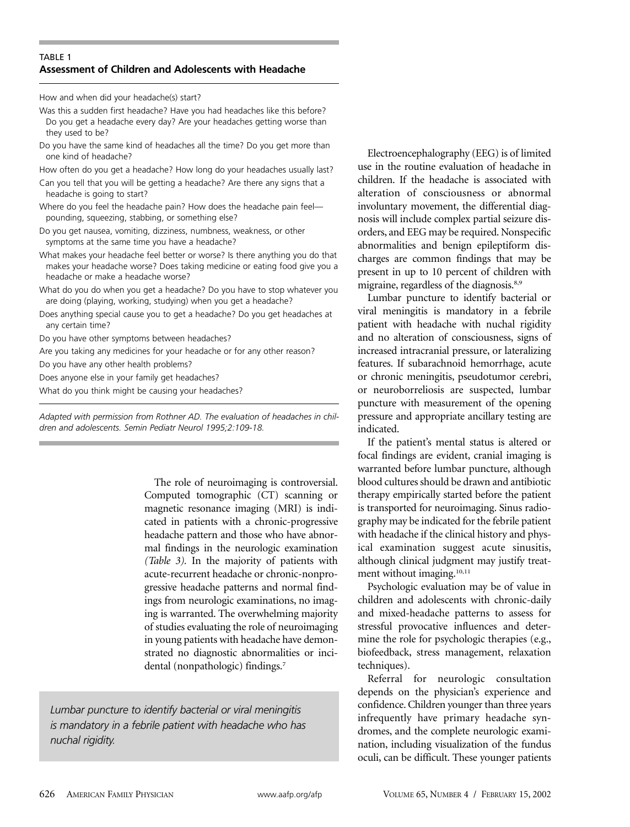# TABLE 1 **Assessment of Children and Adolescents with Headache**

How and when did your headache(s) start?

- Was this a sudden first headache? Have you had headaches like this before? Do you get a headache every day? Are your headaches getting worse than they used to be?
- Do you have the same kind of headaches all the time? Do you get more than one kind of headache?
- How often do you get a headache? How long do your headaches usually last?

Can you tell that you will be getting a headache? Are there any signs that a headache is going to start?

- Where do you feel the headache pain? How does the headache pain feel pounding, squeezing, stabbing, or something else?
- Do you get nausea, vomiting, dizziness, numbness, weakness, or other symptoms at the same time you have a headache?
- What makes your headache feel better or worse? Is there anything you do that makes your headache worse? Does taking medicine or eating food give you a headache or make a headache worse?
- What do you do when you get a headache? Do you have to stop whatever you are doing (playing, working, studying) when you get a headache?
- Does anything special cause you to get a headache? Do you get headaches at any certain time?

Do you have other symptoms between headaches?

Are you taking any medicines for your headache or for any other reason?

Do you have any other health problems?

Does anyone else in your family get headaches?

What do you think might be causing your headaches?

*Adapted with permission from Rothner AD. The evaluation of headaches in children and adolescents. Semin Pediatr Neurol 1995;2:109-18.*

> The role of neuroimaging is controversial. Computed tomographic (CT) scanning or magnetic resonance imaging (MRI) is indicated in patients with a chronic-progressive headache pattern and those who have abnormal findings in the neurologic examination *(Table 3).* In the majority of patients with acute-recurrent headache or chronic-nonprogressive headache patterns and normal findings from neurologic examinations, no imaging is warranted. The overwhelming majority of studies evaluating the role of neuroimaging in young patients with headache have demonstrated no diagnostic abnormalities or incidental (nonpathologic) findings.7

*Lumbar puncture to identify bacterial or viral meningitis is mandatory in a febrile patient with headache who has nuchal rigidity.*

Electroencephalography (EEG) is of limited use in the routine evaluation of headache in children. If the headache is associated with alteration of consciousness or abnormal involuntary movement, the differential diagnosis will include complex partial seizure disorders, and EEG may be required. Nonspecific abnormalities and benign epileptiform discharges are common findings that may be present in up to 10 percent of children with migraine, regardless of the diagnosis.<sup>8,9</sup>

Lumbar puncture to identify bacterial or viral meningitis is mandatory in a febrile patient with headache with nuchal rigidity and no alteration of consciousness, signs of increased intracranial pressure, or lateralizing features. If subarachnoid hemorrhage, acute or chronic meningitis, pseudotumor cerebri, or neuroborreliosis are suspected, lumbar puncture with measurement of the opening pressure and appropriate ancillary testing are indicated.

If the patient's mental status is altered or focal findings are evident, cranial imaging is warranted before lumbar puncture, although blood cultures should be drawn and antibiotic therapy empirically started before the patient is transported for neuroimaging. Sinus radiography may be indicated for the febrile patient with headache if the clinical history and physical examination suggest acute sinusitis, although clinical judgment may justify treatment without imaging.<sup>10,11</sup>

Psychologic evaluation may be of value in children and adolescents with chronic-daily and mixed-headache patterns to assess for stressful provocative influences and determine the role for psychologic therapies (e.g., biofeedback, stress management, relaxation techniques).

Referral for neurologic consultation depends on the physician's experience and confidence. Children younger than three years infrequently have primary headache syndromes, and the complete neurologic examination, including visualization of the fundus oculi, can be difficult. These younger patients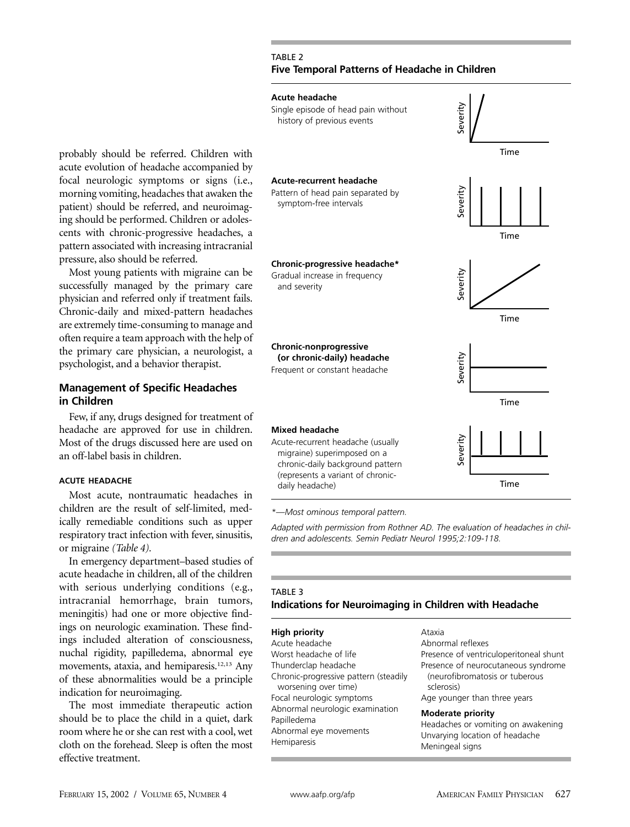## TABLE 2 **Five Temporal Patterns of Headache in Children**

#### **Acute headache**



probably should be referred. Children with acute evolution of headache accompanied by focal neurologic symptoms or signs (i.e., morning vomiting, headaches that awaken the patient) should be referred, and neuroimaging should be performed. Children or adolescents with chronic-progressive headaches, a pattern associated with increasing intracranial pressure, also should be referred.

Most young patients with migraine can be successfully managed by the primary care physician and referred only if treatment fails. Chronic-daily and mixed-pattern headaches are extremely time-consuming to manage and often require a team approach with the help of the primary care physician, a neurologist, a psychologist, and a behavior therapist.

# **Management of Specific Headaches in Children**

Few, if any, drugs designed for treatment of headache are approved for use in children. Most of the drugs discussed here are used on an off-label basis in children.

## **ACUTE HEADACHE**

Most acute, nontraumatic headaches in children are the result of self-limited, medically remediable conditions such as upper respiratory tract infection with fever, sinusitis, or migraine *(Table 4).*

In emergency department–based studies of acute headache in children, all of the children with serious underlying conditions (e.g., intracranial hemorrhage, brain tumors, meningitis) had one or more objective findings on neurologic examination. These findings included alteration of consciousness, nuchal rigidity, papilledema, abnormal eye movements, ataxia, and hemiparesis.<sup>12,13</sup> Any of these abnormalities would be a principle indication for neuroimaging.

The most immediate therapeutic action should be to place the child in a quiet, dark room where he or she can rest with a cool, wet cloth on the forehead. Sleep is often the most effective treatment.

*\*—Most ominous temporal pattern.*

*Adapted with permission from Rothner AD. The evaluation of headaches in chil-*

# TABLE 3 **Indications for Neuroimaging in Children with Headache**

#### **High priority**

| Acute headache                        |
|---------------------------------------|
| Worst headache of life                |
| Thunderclap headache                  |
| Chronic-progressive pattern (steadily |
| worsening over time)                  |
| Focal neurologic symptoms             |
| Abnormal neurologic examination       |
| Papilledema                           |
| Abnormal eye movements                |
| Hemiparesis                           |
|                                       |

#### Ataxia Abnormal reflexes Presence of ventriculoperitoneal shunt Presence of neurocutaneous syndrome (neurofibromatosis or tuberous sclerosis) Age younger than three years

#### **Moderate priority**

Headaches or vomiting on awakening Unvarying location of headache Meningeal signs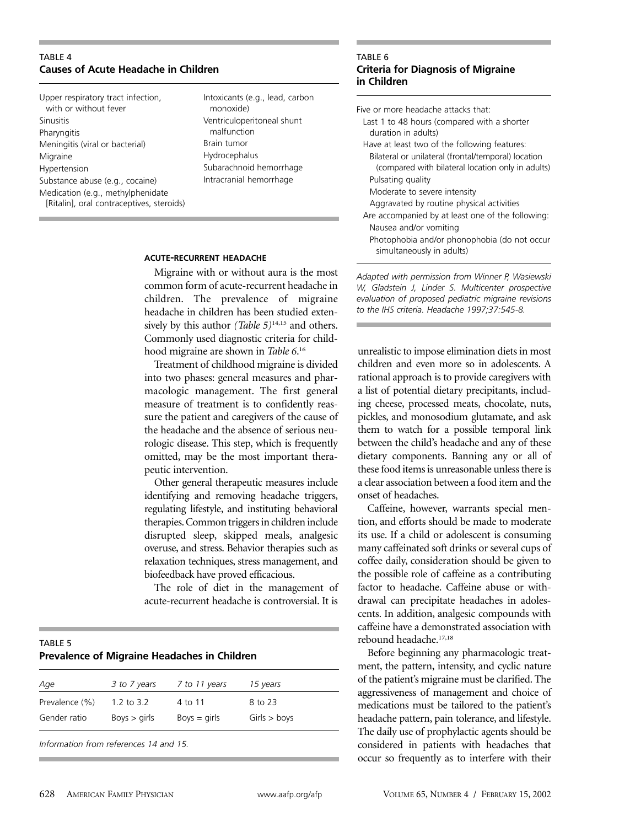# TABLE 4 **Causes of Acute Headache in Children**

Upper respiratory tract infection, with or without fever Sinusitis **Pharyngitis** Meningitis (viral or bacterial) Migraine Hypertension Substance abuse (e.g., cocaine) Medication (e.g., methylphenidate [Ritalin], oral contraceptives, steroids) Intoxicants (e.g., lead, carbon monoxide) Ventriculoperitoneal shunt malfunction Brain tumor Hydrocephalus Subarachnoid hemorrhage Intracranial hemorrhage

#### **ACUTE-RECURRENT HEADACHE**

Migraine with or without aura is the most common form of acute-recurrent headache in children. The prevalence of migraine headache in children has been studied extensively by this author *(Table 5)*14,15 and others. Commonly used diagnostic criteria for childhood migraine are shown in *Table 6*. 16

Treatment of childhood migraine is divided into two phases: general measures and pharmacologic management. The first general measure of treatment is to confidently reassure the patient and caregivers of the cause of the headache and the absence of serious neurologic disease. This step, which is frequently omitted, may be the most important therapeutic intervention.

Other general therapeutic measures include identifying and removing headache triggers, regulating lifestyle, and instituting behavioral therapies. Common triggers in children include disrupted sleep, skipped meals, analgesic overuse, and stress. Behavior therapies such as relaxation techniques, stress management, and biofeedback have proved efficacious.

The role of diet in the management of acute-recurrent headache is controversial. It is

| TABLE 5                                      |  |
|----------------------------------------------|--|
| Prevalence of Migraine Headaches in Children |  |
|                                              |  |

| Age            | 3 to 7 years | 7 to 11 years  | 15 years     |
|----------------|--------------|----------------|--------------|
| Prevalence (%) | 1.2 to 3.2   | 4 to 11        | 8 to 23      |
| Gender ratio   | Boys > girls | $Boys = girls$ | Girls > boys |
|                |              |                |              |

*Information from references 14 and 15.*

#### TABLE 6 **Criteria for Diagnosis of Migraine in Children**

Five or more headache attacks that:

- Last 1 to 48 hours (compared with a shorter duration in adults)
- Have at least two of the following features:
	- Bilateral or unilateral (frontal/temporal) location (compared with bilateral location only in adults) Pulsating quality

Moderate to severe intensity

- Aggravated by routine physical activities
- Are accompanied by at least one of the following: Nausea and/or vomiting
- Photophobia and/or phonophobia (do not occur simultaneously in adults)

*Adapted with permission from Winner P, Wasiewski W, Gladstein J, Linder S. Multicenter prospective evaluation of proposed pediatric migraine revisions to the IHS criteria. Headache 1997;37:545-8.*

unrealistic to impose elimination diets in most children and even more so in adolescents. A rational approach is to provide caregivers with a list of potential dietary precipitants, including cheese, processed meats, chocolate, nuts, pickles, and monosodium glutamate, and ask them to watch for a possible temporal link between the child's headache and any of these dietary components. Banning any or all of these food items is unreasonable unless there is a clear association between a food item and the onset of headaches.

Caffeine, however, warrants special mention, and efforts should be made to moderate its use. If a child or adolescent is consuming many caffeinated soft drinks or several cups of coffee daily, consideration should be given to the possible role of caffeine as a contributing factor to headache. Caffeine abuse or withdrawal can precipitate headaches in adolescents. In addition, analgesic compounds with caffeine have a demonstrated association with rebound headache.17,18

Before beginning any pharmacologic treatment, the pattern, intensity, and cyclic nature of the patient's migraine must be clarified. The aggressiveness of management and choice of medications must be tailored to the patient's headache pattern, pain tolerance, and lifestyle. The daily use of prophylactic agents should be considered in patients with headaches that occur so frequently as to interfere with their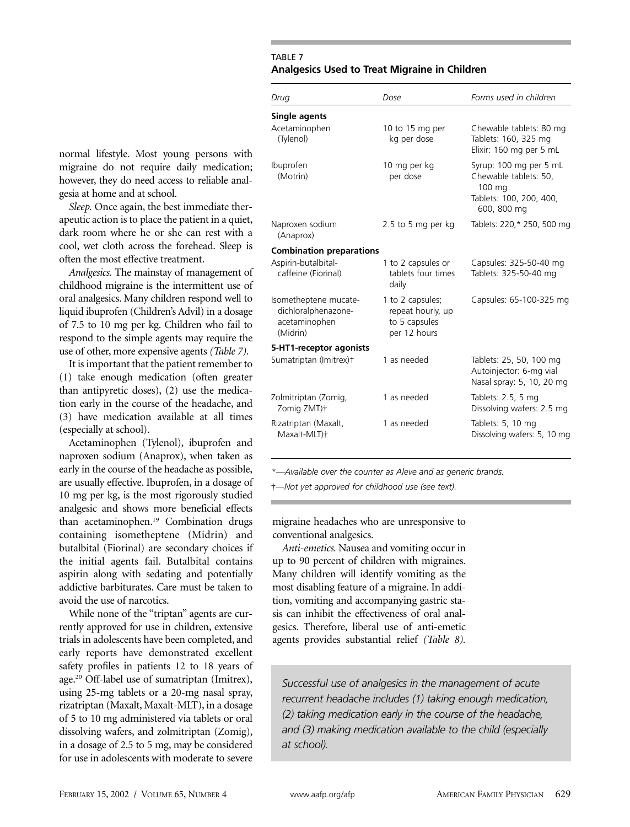# TABLE 7 **Analgesics Used to Treat Migraine in Children**

| Chewable tablets: 80 mg<br>Tablets: 160, 325 mg<br>Elixir: 160 mg per 5 mL      |
|---------------------------------------------------------------------------------|
| Syrup: 100 mg per 5 mL<br>Chewable tablets: 50,<br>Tablets: 100, 200, 400,      |
| Tablets: 220,* 250, 500 mg                                                      |
|                                                                                 |
| Capsules: 325-50-40 mg<br>Tablets: 325-50-40 mg                                 |
| Capsules: 65-100-325 mg                                                         |
|                                                                                 |
| Tablets: 25, 50, 100 mg<br>Autoinjector: 6-mg vial<br>Nasal spray: 5, 10, 20 mg |
| Dissolving wafers: 2.5 mg                                                       |
| Dissolving wafers: 5, 10 mg                                                     |
|                                                                                 |

*\*—Available over the counter as Aleve and as generic brands.*

†*—Not yet approved for childhood use (see text).* 

migraine headaches who are unresponsive to conventional analgesics.

*Anti-emetics.* Nausea and vomiting occur in up to 90 percent of children with migraines. Many children will identify vomiting as the most disabling feature of a migraine. In addition, vomiting and accompanying gastric stasis can inhibit the effectiveness of oral analgesics. Therefore, liberal use of anti-emetic agents provides substantial relief *(Table 8).*

*Successful use of analgesics in the management of acute recurrent headache includes (1) taking enough medication, (2) taking medication early in the course of the headache, and (3) making medication available to the child (especially at school).*

normal lifestyle. Most young persons with migraine do not require daily medication; however, they do need access to reliable analgesia at home and at school.

*Sleep.* Once again, the best immediate therapeutic action is to place the patient in a quiet, dark room where he or she can rest with a cool, wet cloth across the forehead. Sleep is often the most effective treatment.

*Analgesics.* The mainstay of management of childhood migraine is the intermittent use of oral analgesics. Many children respond well to liquid ibuprofen (Children's Advil) in a dosage of 7.5 to 10 mg per kg. Children who fail to respond to the simple agents may require the use of other, more expensive agents *(Table 7).*

It is important that the patient remember to (1) take enough medication (often greater than antipyretic doses), (2) use the medication early in the course of the headache, and (3) have medication available at all times (especially at school).

Acetaminophen (Tylenol), ibuprofen and naproxen sodium (Anaprox), when taken as early in the course of the headache as possible, are usually effective. Ibuprofen, in a dosage of 10 mg per kg, is the most rigorously studied analgesic and shows more beneficial effects than acetaminophen.19 Combination drugs containing isometheptene (Midrin) and butalbital (Fiorinal) are secondary choices if the initial agents fail. Butalbital contains aspirin along with sedating and potentially addictive barbiturates. Care must be taken to avoid the use of narcotics.

While none of the "triptan" agents are currently approved for use in children, extensive trials in adolescents have been completed, and early reports have demonstrated excellent safety profiles in patients 12 to 18 years of age.20 Off-label use of sumatriptan (Imitrex), using 25-mg tablets or a 20-mg nasal spray, rizatriptan (Maxalt, Maxalt-MLT), in a dosage of 5 to 10 mg administered via tablets or oral dissolving wafers, and zolmitriptan (Zomig), in a dosage of 2.5 to 5 mg, may be considered for use in adolescents with moderate to severe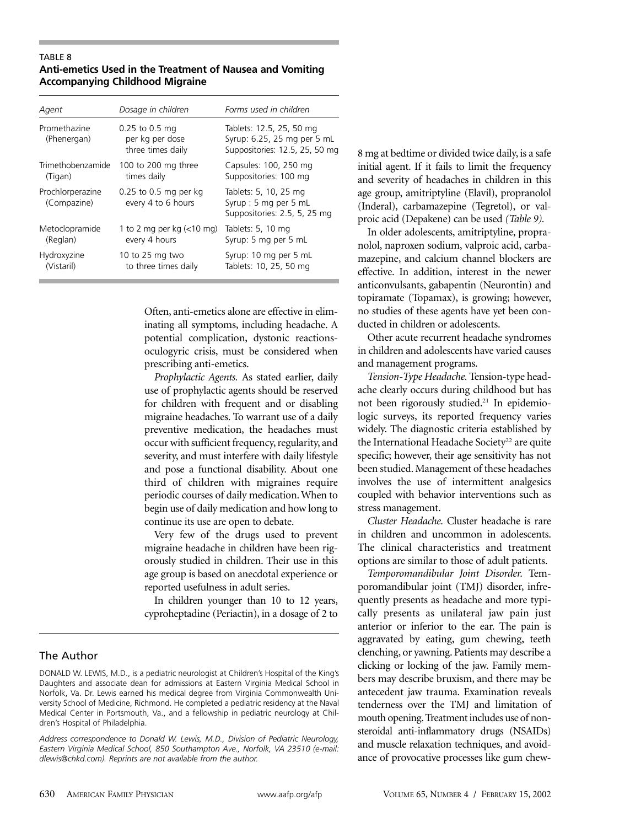#### TABLE 8 **Anti-emetics Used in the Treatment of Nausea and Vomiting Accompanying Childhood Migraine**

| Agent                           | Dosage in children                                       | Forms used in children                                                                    |
|---------------------------------|----------------------------------------------------------|-------------------------------------------------------------------------------------------|
| Promethazine<br>(Phenergan)     | $0.25$ to 0.5 mg<br>per kg per dose<br>three times daily | Tablets: 12.5, 25, 50 mg<br>Syrup: 6.25, 25 mg per 5 mL<br>Suppositories: 12.5, 25, 50 mg |
| Trimethobenzamide               | 100 to 200 mg three                                      | Capsules: 100, 250 mg                                                                     |
| (Tigan)                         | times daily                                              | Suppositories: 100 mg                                                                     |
| Prochlorperazine<br>(Compazine) | $0.25$ to 0.5 mg per kg<br>every 4 to 6 hours            | Tablets: 5, 10, 25 mg<br>Syrup: 5 mg per 5 mL<br>Suppositories: 2.5, 5, 25 mg             |
| Metoclopramide                  | 1 to 2 mg per kg $\left($ < 10 mg)                       | Tablets: $5, 10$ mg                                                                       |
| (Reglan)                        | every 4 hours                                            | Syrup: 5 mg per 5 mL                                                                      |
| Hydroxyzine                     | 10 to 25 mg two                                          | Syrup: 10 mg per 5 mL                                                                     |
| (Vistaril)                      | to three times daily                                     | Tablets: 10, 25, 50 mg                                                                    |

Often, anti-emetics alone are effective in eliminating all symptoms, including headache. A potential complication, dystonic reactionsoculogyric crisis, must be considered when prescribing anti-emetics.

*Prophylactic Agents.* As stated earlier, daily use of prophylactic agents should be reserved for children with frequent and or disabling migraine headaches. To warrant use of a daily preventive medication, the headaches must occur with sufficient frequency, regularity, and severity, and must interfere with daily lifestyle and pose a functional disability. About one third of children with migraines require periodic courses of daily medication. When to begin use of daily medication and how long to continue its use are open to debate.

Very few of the drugs used to prevent migraine headache in children have been rigorously studied in children. Their use in this age group is based on anecdotal experience or reported usefulness in adult series.

In children younger than 10 to 12 years, cyproheptadine (Periactin), in a dosage of 2 to

# The Author

8 mg at bedtime or divided twice daily, is a safe initial agent. If it fails to limit the frequency and severity of headaches in children in this age group, amitriptyline (Elavil), propranolol (Inderal), carbamazepine (Tegretol), or valproic acid (Depakene) can be used *(Table 9).*

In older adolescents, amitriptyline, propranolol, naproxen sodium, valproic acid, carbamazepine, and calcium channel blockers are effective. In addition, interest in the newer anticonvulsants, gabapentin (Neurontin) and topiramate (Topamax), is growing; however, no studies of these agents have yet been conducted in children or adolescents.

Other acute recurrent headache syndromes in children and adolescents have varied causes and management programs.

*Tension-Type Headache.* Tension-type headache clearly occurs during childhood but has not been rigorously studied.<sup>21</sup> In epidemiologic surveys, its reported frequency varies widely. The diagnostic criteria established by the International Headache Society<sup>22</sup> are quite specific; however, their age sensitivity has not been studied. Management of these headaches involves the use of intermittent analgesics coupled with behavior interventions such as stress management.

*Cluster Headache.* Cluster headache is rare in children and uncommon in adolescents. The clinical characteristics and treatment options are similar to those of adult patients.

*Temporomandibular Joint Disorder.* Temporomandibular joint (TMJ) disorder, infrequently presents as headache and more typically presents as unilateral jaw pain just anterior or inferior to the ear. The pain is aggravated by eating, gum chewing, teeth clenching, or yawning. Patients may describe a clicking or locking of the jaw. Family members may describe bruxism, and there may be antecedent jaw trauma. Examination reveals tenderness over the TMJ and limitation of mouth opening.Treatment includes use of nonsteroidal anti-inflammatory drugs (NSAIDs) and muscle relaxation techniques, and avoidance of provocative processes like gum chew-

DONALD W. LEWIS, M.D., is a pediatric neurologist at Children's Hospital of the King's Daughters and associate dean for admissions at Eastern Virginia Medical School in Norfolk, Va. Dr. Lewis earned his medical degree from Virginia Commonwealth University School of Medicine, Richmond. He completed a pediatric residency at the Naval Medical Center in Portsmouth, Va., and a fellowship in pediatric neurology at Children's Hospital of Philadelphia.

*Address correspondence to Donald W. Lewis, M.D., Division of Pediatric Neurology, Eastern Virginia Medical School, 850 Southampton Ave., Norfolk, VA 23510 (e-mail: dlewis@chkd.com). Reprints are not available from the author.*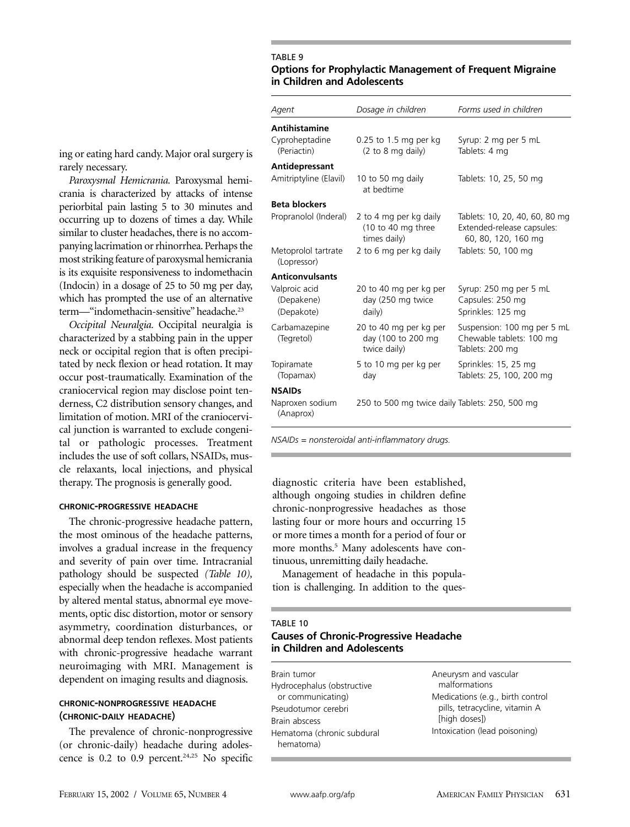#### TABLE 9

## **Options for Prophylactic Management of Frequent Migraine in Children and Adolescents**

*Agent Dosage in children Forms used in children*

| <b>Antihistamine</b>                      |                                                                                  |                                                                                     |
|-------------------------------------------|----------------------------------------------------------------------------------|-------------------------------------------------------------------------------------|
| Cyproheptadine<br>(Periactin)             | $0.25$ to 1.5 mg per kg<br>(2 to 8 mg daily)                                     | Syrup: 2 mg per 5 mL<br>Tablets: 4 mg                                               |
| Antidepressant                            |                                                                                  |                                                                                     |
| Amitriptyline (Elavil)                    | 10 to 50 mg daily<br>at bedtime                                                  | Tablets: 10, 25, 50 mg                                                              |
| <b>Beta blockers</b>                      |                                                                                  |                                                                                     |
| Propranolol (Inderal)                     | 2 to 4 mg per kg daily<br>$(10 \text{ to } 40 \text{ mg three})$<br>times daily) | Tablets: 10, 20, 40, 60, 80 mg<br>Extended-release capsules:<br>60, 80, 120, 160 mg |
| Metoprolol tartrate<br>(Lopressor)        | 2 to 6 mg per kg daily                                                           | Tablets: 50, 100 mg                                                                 |
| <b>Anticonvulsants</b>                    |                                                                                  |                                                                                     |
| Valproic acid<br>(Depakene)<br>(Depakote) | 20 to 40 mg per kg per<br>day (250 mg twice<br>daily)                            | Syrup: 250 mg per 5 mL<br>Capsules: 250 mg<br>Sprinkles: 125 mg                     |
| Carbamazepine<br>(Tegretol)               | 20 to 40 mg per kg per<br>day (100 to 200 mg<br>twice daily)                     | Suspension: 100 mg per 5 mL<br>Chewable tablets: 100 mg<br>Tablets: 200 mg          |
| Topiramate<br>(Topamax)                   | 5 to 10 mg per kg per<br>day                                                     | Sprinkles: 15, 25 mg<br>Tablets: 25, 100, 200 mg                                    |
| <b>NSAIDs</b>                             |                                                                                  |                                                                                     |
| Naproxen sodium<br>(Anaprox)              | 250 to 500 mg twice daily Tablets: 250, 500 mg                                   |                                                                                     |
|                                           |                                                                                  |                                                                                     |

ing or eating hard candy. Major oral surgery rarely necessary.

Paroxysmal Hemicrania. Paroxysmal hem crania is characterized by attacks of intens periorbital pain lasting 5 to 30 minutes and occurring up to dozens of times a day. While similar to cluster headaches, there is no accompanying lacrimation or rhinorrhea. Perhaps the most striking feature of paroxysmal hemicran is its exquisite responsiveness to indomethaci (Indocin) in a dosage of  $25$  to  $50$  mg per day which has prompted the use of an alternativ term—"indomethacin-sensitive" headache.<sup>23</sup>

**Occipital Neuralgia.** Occipital neuralgia characterized by a stabbing pain in the upp neck or occipital region that is often precip tated by neck flexion or head rotation. It ma occur post-traumatically. Examination of th craniocervical region may disclose point tenderness, C2 distribution sensory changes, an limitation of motion. MRI of the craniocerv cal junction is warranted to exclude congenital or pathologic processes. Treatment includes the use of soft collars, NSAIDs, muscle relaxants, local injections, and physical therapy. The prognosis is generally good.

#### **CHRONIC-PROGRESSIVE HEADACHE**

The chronic-progressive headache pattern, the most ominous of the headache patterns, involves a gradual increase in the frequency and severity of pain over time. Intracranial pathology should be suspected *(Table 10),* especially when the headache is accompanied by altered mental status, abnormal eye movements, optic disc distortion, motor or sensory asymmetry, coordination disturbances, or abnormal deep tendon reflexes. Most patients with chronic-progressive headache warrant neuroimaging with MRI. Management is dependent on imaging results and diagnosis.

## **CHRONIC-NONPROGRESSIVE HEADACHE** (**CHRONIC-DAILY HEADACHE**)

The prevalence of chronic-nonprogressive (or chronic-daily) headache during adolescence is  $0.2$  to  $0.9$  percent.<sup>24,25</sup> No specific *NSAIDs = nonsteroidal anti-inflammatory drugs.*

diagnostic criteria have been established, although ongoing studies in children define chronic-nonprogressive headaches as those lasting four or more hours and occurring 15 or more times a month for a period of four or more months.<sup>5</sup> Many adolescents have continuous, unremitting daily headache.

Management of headache in this population is challenging. In addition to the ques-

## TABLE 10 **Causes of Chronic-Progressive Headache in Children and Adolescents**

Brain tumor Hydrocephalus (obstructive or communicating) Pseudotumor cerebri Brain abscess Hematoma (chronic subdural hematoma)

Aneurysm and vascular malformations Medications (e.g., birth control pills, tetracycline, vitamin A [high doses]) Intoxication (lead poisoning)